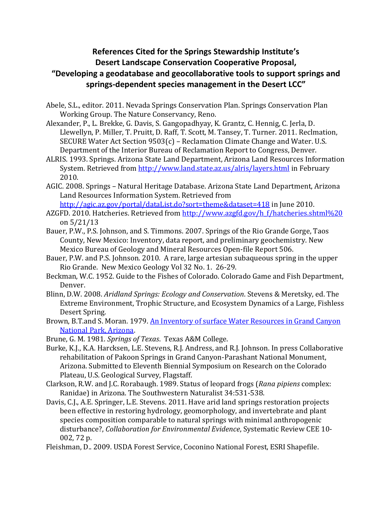## **References Cited for the Springs Stewardship Institute's Desert Landscape Conservation Cooperative Proposal, "Developing a geodatabase and geocollaborative tools to support springs and springs-dependent species management in the Desert LCC"**

- Abele, S.L., editor. 2011. Nevada Springs Conservation Plan. Springs Conservation Plan Working Group. The Nature Conservancy, Reno.
- Alexander, P., L. Brekke, G. Davis, S. Gangopadhyay, K. Grantz, C. Hennig, C. Jerla, D. Llewellyn, P. Miller, T. Pruitt, D. Raff, T. Scott, M. Tansey, T. Turner. 2011. Reclmation, SECURE Water Act Section 9503(c) – Reclamation Climate Change and Water. U.S. Department of the Interior Bureau of Reclamation Report to Congress, Denver.
- ALRIS. 1993. Springs. Arizona State Land Department, Arizona Land Resources Information System. Retrieved from<http://www.land.state.az.us/alris/layers.html> in February 2010.
- AGIC. 2008. Springs Natural Heritage Database. Arizona State Land Department, Arizona Land Resources Information System. Retrieved from

<http://agic.az.gov/portal/dataList.do?sort=theme&dataset=418> in June 2010.

- AZGFD. 2010. Hatcheries. Retrieved from [http://www.azgfd.gov/h\\_f/hatcheries.shtml%20](http://www.azgfd.gov/h_f/hatcheries.shtml) on 5/21/13
- Bauer, P.W., P.S. Johnson, and S. Timmons. 2007. Springs of the Rio Grande Gorge, Taos County, New Mexico: Inventory, data report, and preliminary geochemistry. New Mexico Bureau of Geology and Mineral Resources Open-file Report 506.
- Bauer, P.W. and P.S. Johnson. 2010. A rare, large artesian subaqueous spring in the upper Rio Grande. New Mexico Geology Vol 32 No. 1. 26-29.
- Beckman, W.C. 1952. Guide to the Fishes of Colorado. Colorado Game and Fish Department, Denver.
- Blinn, D.W. 2008. *Aridland Springs: Ecology and Conservation*. Stevens & Meretsky, ed. The Extreme Environment, Trophic Structure, and Ecosystem Dynamics of a Large, Fishless Desert Spring.
- Brown, B.T.and S. Moran. 1979. [An Inventory of surface Water Resources in Grand Canyon](http://www.springstewardship.org/PDF/Brown_Moran_1979.pdf)  [National Park, Arizona.](http://www.springstewardship.org/PDF/Brown_Moran_1979.pdf)
- Brune, G. M. 1981. *Springs of Texas*. Texas A&M College.
- Burke, K.J., K.A. Harcksen, L.E. Stevens, R.J. Andress, and R.J. Johnson. In press Collaborative rehabilitation of Pakoon Springs in Grand Canyon-Parashant National Monument, Arizona. Submitted to Eleventh Biennial Symposium on Research on the Colorado Plateau, U.S. Geological Survey, Flagstaff.
- Clarkson, R.W. and J.C. Rorabaugh. 1989. Status of leopard frogs (*Rana pipiens* complex: Ranidae) in Arizona. The Southwestern Naturalist 34:531-538.
- Davis, C.J., A.E. Springer, L.E. Stevens. 2011. Have arid land springs restoration projects been effective in restoring hydrology, geomorphology, and invertebrate and plant species composition comparable to natural springs with minimal anthropogenic disturbance?, *Collaboration for Environmental Evidence*, Systematic Review CEE 10- 002, 72 p.
- Fleishman, D.. 2009. USDA Forest Service, Coconino National Forest, ESRI Shapefile.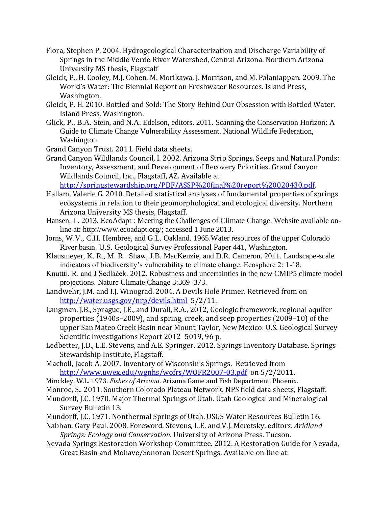- Flora, Stephen P. 2004. Hydrogeological Characterization and Discharge Variability of Springs in the Middle Verde River Watershed, Central Arizona. Northern Arizona University MS thesis, Flagstaff
- Gleick, P., H. Cooley, M.J. Cohen, M. Morikawa, J. Morrison, and M. Palaniappan. 2009. The World's Water: The Biennial Report on Freshwater Resources. Island Press, Washington.
- Gleick, P. H. 2010. Bottled and Sold: The Story Behind Our Obsession with Bottled Water. Island Press, Washington.
- Glick, P., B.A. Stein, and N.A. Edelson, editors. 2011. Scanning the Conservation Horizon: A Guide to Climate Change Vulnerability Assessment. National Wildlife Federation, Washington.
- Grand Canyon Trust. 2011. Field data sheets.
- Grand Canyon Wildlands Council, I. 2002. Arizona Strip Springs, Seeps and Natural Ponds: Inventory, Assessment, and Development of Recovery Priorities. Grand Canyon Wildlands Council, Inc., Flagstaff, AZ. Available at [http://springstewardship.org/PDF/ASSP%20final%20report%20020430.pdf.](http://springstewardship.org/PDF/ASSP%20final%20report%20020430.pdf)
- Hallam, Valerie G. 2010. Detailed statistical analyses of fundamental properties of springs ecosystems in relation to their geomorphological and ecological diversity. Northern Arizona University MS thesis, Flagstaff.
- Hansen, L. 2013. EcoAdapt : Meeting the Challenges of Climate Change. Website available online at: [http://www.ecoadapt.org/;](http://www.ecoadapt.org/) accessed 1 June 2013.
- Iorns, W.V., C.H. Hembree, and G.L. Oakland. 1965.Water resources of the upper Colorado River basin. U.S. Geological Survey Professional Paper 441, Washington.
- Klausmeyer, K. R., M. R . Shaw, J.B. MacKenzie, and D.R. Cameron. 2011. Landscape-scale indicators of biodiversity's vulnerability to climate change. Ecosphere 2: 1-18.
- Knuttti, R. and J Sedláček. 2012. Robustness and uncertainties in the new CMIP5 climate model projections. Nature Climate Change 3:369–373.
- Landwehr, J.M. and I.J. Winograd. 2004. A Devils Hole Primer. Retrieved from on <http://water.usgs.gov/nrp/devils.html>5/2/11.
- Langman, J.B., Sprague, J.E., and Durall, R.A., 2012, Geologic framework, regional aquifer properties (1940s–2009), and spring, creek, and seep properties (2009–10) of the upper San Mateo Creek Basin near Mount Taylor, New Mexico: U.S. Geological Survey Scientific Investigations Report 2012–5019, 96 p.
- Ledbetter, J.D., L.E. Stevens, and A.E. Springer. 2012. Springs Inventory Database. Springs Stewardship Institute, Flagstaff.
- Macholl, Jacob A. 2007. Inventory of Wisconsin's Springs. Retrieved from <http://www.uwex.edu/wgnhs/wofrs/WOFR2007-03.pdf>on 5/2/2011.
- Minckley, W.L. 1973. *Fishes of Arizona*. Arizona Game and Fish Department, Phoenix.
- Monroe, S.. 2011. Southern Colorado Plateau Network. NPS field data sheets, Flagstaff.
- Mundorff, J.C. 1970. Major Thermal Springs of Utah. Utah Geological and Mineralogical Survey Bulletin 13.
- Mundorff, J.C. 1971. Nonthermal Springs of Utah. USGS Water Resources Bulletin 16.
- Nabhan, Gary Paul. 2008. Foreword. Stevens, L.E. and V.J. Meretsky, editors. *Aridland Springs: Ecology and Conservation*. University of Arizona Press. Tucson.
- Nevada Springs Restoration Workshop Committee. 2012. A Restoration Guide for Nevada, Great Basin and Mohave/Sonoran Desert Springs. Available on-line at: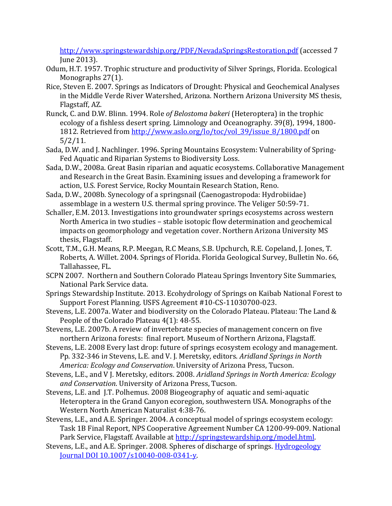<http://www.springstewardship.org/PDF/NevadaSpringsRestoration.pdf> (accessed 7 June 2013).

- Odum, H.T. 1957. Trophic structure and productivity of Silver Springs, Florida. Ecological Monographs 27(1).
- Rice, Steven E. 2007. Springs as Indicators of Drought: Physical and Geochemical Analyses in the Middle Verde River Watershed, Arizona. Northern Arizona University MS thesis, Flagstaff, AZ.
- Runck, C. and D.W. Blinn. 1994. Role *of Belostoma bakeri* (Heteroptera) in the trophic ecology of a fishless desert spring. Limnology and Oceanography. 39(8), 1994, 1800- 1812. Retrieved from [http://www.aslo.org/lo/toc/vol\\_39/issue\\_8/1800.pdf](http://www.aslo.org/lo/toc/vol_39/issue_8/1800.pdf) on 5/2/11.
- Sada, D.W. and J. Nachlinger. 1996. Spring Mountains Ecosystem: Vulnerability of Spring-Fed Aquatic and Riparian Systems to Biodiversity Loss.
- Sada, D.W., 2008a. Great Basin riparian and aquatic ecosystems. Collaborative Management and Research in the Great Basin. Examining issues and developing a framework for action, U.S. Forest Service, Rocky Mountain Research Station, Reno.
- Sada, D.W., 2008b. Synecology of a springsnail (Caenogastropoda: Hydrobiidae) assemblage in a western U.S. thermal spring province. The Veliger 50:59-71.
- Schaller, E.M. 2013. Investigations into groundwater springs ecosystems across western North America in two studies – stable isotopic flow determination and geochemical impacts on geomorphology and vegetation cover. Northern Arizona University MS thesis, Flagstaff.
- Scott, T.M., G.H. Means, R.P. Meegan, R.C Means, S.B. Upchurch, R.E. Copeland, J. Jones, T. Roberts, A. Willet. 2004. Springs of Florida. Florida Geological Survey, Bulletin No. 66, Tallahassee, FL.
- SCPN 2007. Northern and Southern Colorado Plateau Springs Inventory Site Summaries, National Park Service data.
- Springs Stewardship Institute. 2013. Ecohydrology of Springs on Kaibab National Forest to Support Forest Planning. USFS Agreement #10-CS-11030700-023.
- Stevens, L.E. 2007a. Water and biodiversity on the Colorado Plateau. Plateau: The Land & People of the Colorado Plateau 4(1): 48-55.
- Stevens, L.E. 2007b. A review of invertebrate species of management concern on five northern Arizona forests: final report. Museum of Northern Arizona, Flagstaff.
- Stevens, L.E. 2008 Every last drop: future of springs ecosystem ecology and management. Pp. 332-346 i*n* Stevens, L.E. and V. J. Meretsky, editors. *Aridland Springs in North America: Ecology and Conservation*. University of Arizona Press, Tucson.
- Stevens, L.E., and V J. Meretsky, editors. 2008. *Aridland Springs in North America: Ecology and Conservation*. University of Arizona Press, Tucson.
- Stevens, L.E. and J.T. Polhemus. 2008 Biogeography of aquatic and semi-aquatic Heteroptera in the Grand Canyon ecoregion, southwestern USA. Monographs of the Western North American Naturalist 4:38-76.
- Stevens, L.E., and A.E. Springer. 2004. A conceptual model of springs ecosystem ecology: Task 1B Final Report, NPS Cooperative Agreement Number CA 1200-99-009. National Park Service, Flagstaff. Available at [http://springstewardship.org/model.html.](http://springstewardship.org/model.html)
- Stevens, L.E., and A.E. Springer. 2008. Spheres of discharge of springs. Hydrogeology [Journal DOI 10.1007/s10040-008-0341-y.](http://www.springerlink.com/content/w87j972h1434j816/)